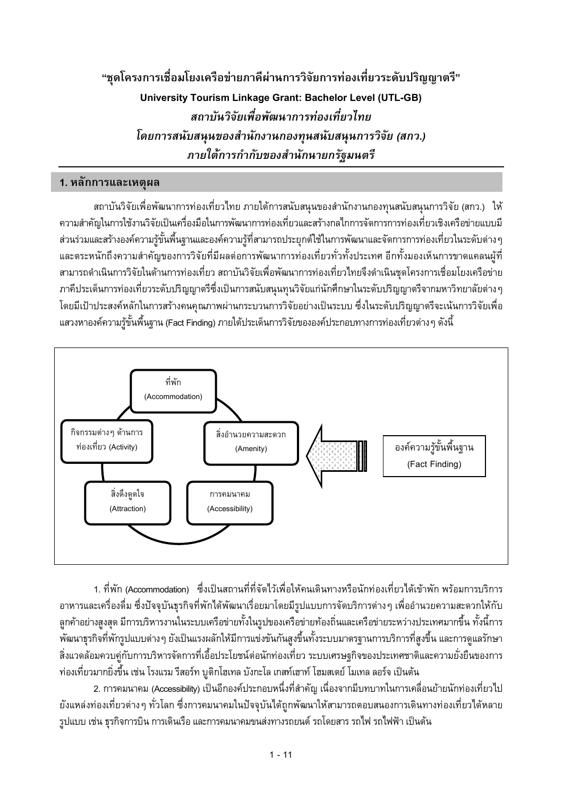"ชุดโครงการเชื่อมโยงเครือข่ายภาคีผ่านการวิจัยการท่องเที่ยวระดับปริญญาตรี" **University Tourism Linkage Grant: Bachelor Level (UTL-GB)** สถาบันวิจัยเพื่อพัฒนาการท่องเที่ยวไทย โดยการสนับสนุนของสำนักงานกองทุนสนับสนุนการวิจัย (สกว.) ภายใต้การกำกับของสำนักนายกรัฐมนตรี

### 1. หลักการและเหตุผล

ี่สถาบันวิจัยเพื่อพัฒนาการท่องเที่ยวไทย ภายใต้การสนับสนุนของสำนักงานกองทุนสนับสนุนการวิจัย (สกว.) ให้ ้ความสำคัญในการใช้งานวิจัยเป็นเครื่องมือในการพัฒนาการท่องเที่ยวและสร้างกลไกการจัดการการท่องเที่ยวเชิงเครือข่ายแบบมี ส่วนร่วมและสร้างองค์ความรู้ขั้นพื้นฐานและองค์ความรู้ที่สามารถประยุกต์ใช้ในการพัฒนาและจัดการการท่องเที่ยวในระดับต่าง ๆ และตระหนักถึงความสำคัญของการวิจัยที่มีผลต่อการพัฒนาการท่องเที่ยวทั่วทั้งประเทศ อีกทั้งมองเห็นการขาดแคลนผู้ที่ สามารถดำเนินการวิจัยในด้านการท่องเที่ยว สถาบันวิจัยเพื่อพัฒนาการท่องเที่ยวไทยจึงดำเนินชุดโครงการเชื่อมโยงเครือข่าย ภาคีประเด็นการท่องเที่ยวระดับปริญญาตรีซึ่งเป็นการสนับสนุนทุนวิจัยแก่นักศึกษาในระดับปริญญาตรีจากมหาวิทยาลัยต่างๆ โดยมีเป้าประสงค์หลักในการสร้างคนคุณภาพผ่านกระบวนการวิจัยอย่างเป็นระบบ ซึ่งในระดับปริญญาตรีจะเน้นการวิจัยเพื่อ แสวงหาองค์ความรู้ขั้นพื้นฐาน (Fact Finding) ภายใต้ประเด็นการวิจัยขององค์ประกอบทางการท่องเที่ยวต่าง ๆ ดังนี้



1. ที่พัก (Accommodation) ซึ่งเป็นสถานที่ที่จัดไว้เพื่อให้คนเดินทางหรือนักท่องเที่ยวได้เข้าพัก พร้อมการบริการ ้อาหารและเครื่องดื่ม ซึ่งปัจจุบันธุรกิจที่พักได้พัฒนาเรื่อยมาโดยมีรูปแบบการจัดบริการต่างๆ เพื่ออำนวยความสะดวกให้กับ ลูกค้าอย่างสูงสุด มีการบริหารงานในระบบเครือข่ายทั้งในรูปของเครือข่ายท้องถิ่นและเครือข่ายระหว่างประเทศมากขึ้น ทั้งนี้การ ้พัฒนาธุรกิจที่พักรูปแบบต่างๆ ยังเป็นแรงผลักให้มีการแข่งขันกันสูงขึ้นทั้งระบบมาตรฐานการบริการที่สูงขึ้น และการดูแลรักษา ้สิ่งแวดล้อมควบคู่กับการบริหารจัดการที่เอื้อประโยชน์ต่อนักท่องเที่ยว ระบบเศรษฐกิจของประเทศชาติและความยั่งยืนของการ ้ท่องเที่ยวมากยิ่งขึ้น เช่น โรงแรม รีสอร์ท บูติกโฮเทล บังกะโล เกสท์เฮาท์ โฮมสเตย์ โมเทล ลอร์จ เป็นต้น

2. การคมนาคม (Accessibility) เป็นอีกองค์ประกอบหนึ่งที่สำคัญ เนื่องจากมีบทบาทในการเคลื่อนย้ายนักท่องเที่ยวไป ยังแหล่งท่องเที่ยวต่างๆ ทั่วโลก ซึ่งการคมนาคมในปัจจุบันได้ถูกพัฒนาให้สามารถตอบสนองการเดินทางท่องเที่ยวได้หลาย รูปแบบ เช่น ธุรกิจการบิน การเดินเรือ และการคมนาคมขนส่งทางรถยนต์ รถโดยสาร รถไฟ รถไฟฟ้า เป็นต้น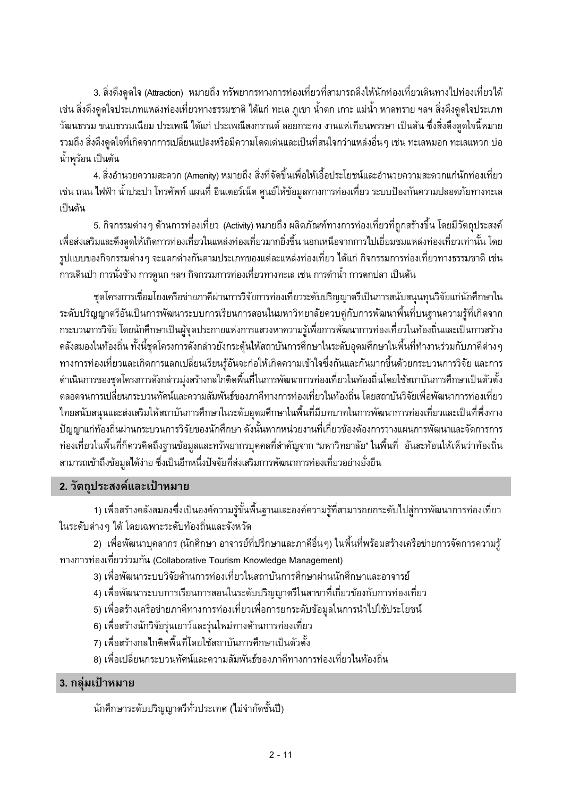่ 3. สิ่งดึงดูดใจ (Attraction) หมายถึง ทรัพยากรทางการท่องเที่ยวที่สามารถดึงให้นักท่องเที่ยวเดินทางไปท่องเที่ยวได้ เช่น สิ่งดึงดูดใจประเภทแหล่งท่องเที่ยวทางธรรมชาติ ได้แก่ ทะเล ภูเขา น้ำตก เกาะ แม่น้ำ หาดทราย ฯลฯ สิ่งดึงดูดใจประเภท ้วัฒนธรรม ขนบธรรมเนียม ประเพณี ได้แก่ ประเพณีสงกรานต์ ลอยกระทง งานแห่เทียนพรรษา เป็นต้น ซึ่งสิ่งดึงดูดใจนี้หมาย ี รวมถึง สิ่งดึงดูดใจที่เกิดจากการเปลี่ยนแปลงหรือมีความโดดเด่นและเป็นที่สนใจกว่าแหล่งอื่นๆ เช่น ทะเลหมอก ทะเลแหวก บ่อ น้ำพุร้อน เป็นต้น

4. สิ่งอำนวยความสะดวก (Amenity) หมายถึง สิ่งที่จัดขึ้นเพื่อให้เอื้อประโยชน์และอำนวยความสะดวกแก่นักท่องเที่ยว ้เช่น ถนน ไฟฟ้า น้ำประปา โทรศัพท์ แผนที่ อินเตอร์เน็ต ศูนย์ให้ข้อมูลทางการท่องเที่ยว ระบบป้องกันความปลอดภัยทางทะเล เป็นต้น

ี่ 5. กิจกรรมต่างๆ ด้านการท่องเที่ยว (Activity) หมายถึง ผลิตภัณฑ์ทางการท่องเที่ยวที่ถูกสร้างขึ้น โดยมีวัตถุประสงค์ เพื่อส่งเสริมและดึงดูดให้เกิดการท่องเที่ยวในแหล่งท่องเที่ยวมากยิ่งขึ้น นอกเหนือจากการไปเยี่ยมชมแหล่งท่องเที่ยวเท่านั้น โดย ูรูปแบบของกิจกรรมต่างๆ จะแตกต่างกันตามประเภทของแต่ละแหล่งท่องเที่ยว ได้แก่ กิจกรรมการท่องเที่ยวทางธรรมชาติ เช่น ุการเดินป่า การนั่งช้าง การดูนก ฯลฯ กิจกรรมการท่องเที่ยวทางทะเล เช่น การดำน้ำ การตกปลา เป็นต้น

ชุดโครงการเชื่อมโยงเครือข่ายภาคีผ่านการวิจัยการท่องเที่ยวระดับปริญญาตรีเป็นการสนับสนุนทุนวิจัยแก่นักศึกษาใน ระดับปริญญาตรีอันเป็นการพัฒนาระบบการเรียนการสอนในมหาวิทยาลัยควบคู่กับการพัฒนาพื้นที่บนฐานความรู้ที่เกิดจาก กระบวนการวิจัย โดยนักศึกษาเป็นผู้จุดประกายแห่งการแสวงหาความรู้เพื่อการพัฒนาการท่องเที่ยวในท้องถิ่นและเป็นการสร้าง ้คลังสมองในท้องถิ่น ทั้งนี้ชุดโครงการดังกล่าวยังกระตุ้นให้สถาบันการศึกษาในระดับอุดมศึกษาในพื้นที่ทำงานร่วมกับภาคีต่าง ๆ ทางการท่องเที่ยวและเกิดการแลกเปลี่ยนเรียนรู้อันจะก่อให้เกิดความเข้าใจซึ่งกันและกันมากขึ้นด้วยกระบวนการวิจัย และการ ดำเนินการของชุดโครงการดังกล่าวมุ่งสร้างกลไกติดพื้นที่ในการพัฒนาการท่องเที่ยวในท้องถิ่นโดยใช้สถาบันการศึกษาเป็นตัวตั้ง ตลอดจนการเปลี่ยนกระบวนทัศน์และความสัมพันธ์ของภาคีทางการท่องเที่ยวในท้องถิ่น โดยสถาบันวิจัยเพื่อพัฒนาการท่องเที่ยว ไทยสนับสนุนและส่งเสริมให้สถาบันการศึกษาในระดับอุดมศึกษาในพื้นที่มีบทบาทในการพัฒนาการท่องเที่ยวและเป็นที่พึ่งทาง ้ปัญญาแก่ท้องถิ่นผ่านกระบวนการวิจัยของนักศึกษา ดังนั้นหากหน่วยงานที่เกี่ยวข้องต้องการวางแผนการพัฒนาและจัดการการ ้ท่องเที่ยวในพื้นที่ก็ควรคิดถึงฐานข้อมูลและทรัพยากรบุคคลที่สำคัญจาก "มหาวิทยาลัย" ในพื้นที่ อันสะท้อนให้เห็นว่าท้องถิ่น สามารถเข้าถึงข้อมูลได้ง่าย ซึ่งเป็นอีกหนึ่งปัจจัยที่ส่งเสริมการพัฒนาการท่องเที่ยวอย่างยั่งยืน

### 2. วัตถุประสงค์และเป้าหมาย

1) เพื่อสร้างคลังสมองซึ่งเป็นองค์ความรู้ขั้นพื้นฐานและองค์ความรู้ที่สามารถยกระดับไปสู่การพัฒนาการท่องเที่ยว ในระดับต่าง ๆ ได้ โดยเฉพาะระดับท้องถิ่นและจังหวัด

่ 2) เพื่อพัฒนาบุคลากร (นักศึกษา อาจารย์ที่ปรึกษาและภาคีอื่นๆ) ในพื้นที่พร้อมสร้างเครือข่ายการจัดการความรู้ ทางการท่องเที่ยวร่วมกัน (Collaborative Tourism Knowledge Management)

- 3) เพื่อพัฒนาระบบวิจัยด้านการท่องเที่ยวในสถาบันการศึกษาผ่านนักศึกษาและอาจารย์
- 4) เพื่อพัฒนาระบบการเรียนการสอนในระดับปริญญาตรีในสาขาที่เกี่ยวข้องกับการท่องเที่ยว
- 5) เพื่อสร้างเครือข่ายภาคีทางการท่องเที่ยวเพื่อการยกระดับข้อมูลในการนำไปใช้ประโยชน์
- 6) เพื่อสร้างนักวิจัยรุ่นเยาว์และรุ่นใหม่ทางด้านการท่องเที่ยว
- 7) เพื่อสร้างกลไกติดพื้นที่โดยใช้สถาบันการศึกษาเป็นตัวตั้ง
- ่ 8) เพื่อเปลี่ยนกระบวนทัศน์และความสัมพันธ์ของภาคีทางการท่องเที่ยวในท้องถิ่น

### 3. กลุ่มเป้าหมาย

นักศึกษาระดับปริญญาตรีทั่วประเทศ (ไม่จำกัดชั้นปี)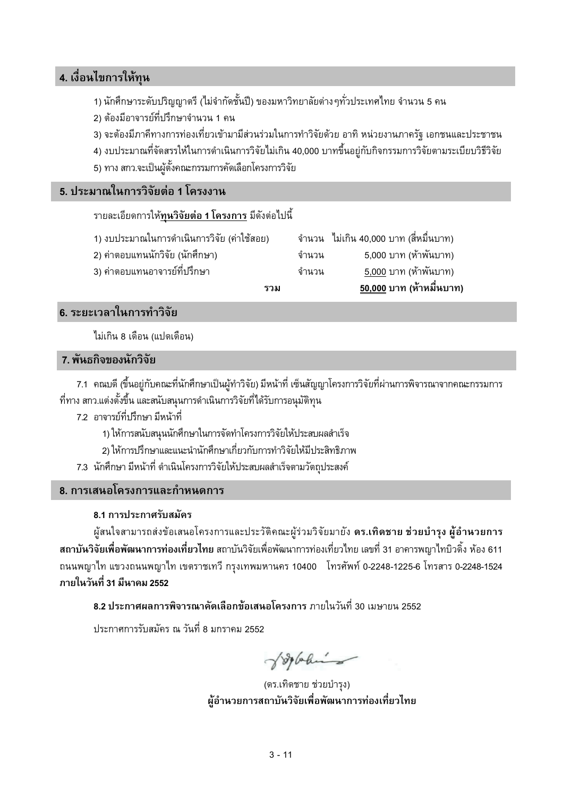### ี 4. เงื่อนไขการให้ทน

- 1) นักศึกษาระดับปริญญาตรี (ไม่จำกัดชั้นปี) ของมหาวิทยาลัยต่าง ๆทั่วประเทศไทย จำนวน 5 คน
- 2) ต้องมีอาจารย์ที่ปรึกษาจำนวน 1 คน
- 3) จะต้องมีภาคีทางการท่องเที่ยวเข้ามามีส่วนร่วมในการทำวิจัยด้วย อาทิ หน่วยงานภาครัฐ เอกชนและประชาชน
- 4) งบประมาณที่จัดสรรให้ในการดำเนินการวิจัยไม่เกิน 40,000 บาทขึ้นอยู่กับกิจกรรมการวิจัยตามระเบียบวิธีวิจัย
- 5) ทาง สกว.จะเป็นผู้ตั้งคณะกรรมการคัดเลือกโครงการวิจัย

#### 5. ประมาณในการวิจัยต่อ 1 โครงงาน

#### ้รายละเอียดการให้<u>ทุนวิจั**ยต่อ 1 โครงการ** มี</u>ดังต่อไปนี้

- 1) งบประมาณในการดำเนินการวิจัย (ค่าใช้สอย)
- 2) ค่าตอบแทนนักวิจัย (นักศึกษา)
- 3) ค่าตอบแทนอาจารย์ที่ปรึกษา

|       | ้จำนวน   ไม่เกิน 40,000 บาท (สี่หมื่นบาท) |
|-------|-------------------------------------------|
| จำนวน | 5,000 บาท (ห้าพันบาท)                     |
| จำนวน | 5,000 บาท (ห้าพันบาท)                     |
|       | 50.000 บาท (ห้าหมื่นบาท                   |

#### 6. ระยะเวลาในการทำวิจัย

ไม่เกิน 8 เดือน (แปดเดือน)

#### 7. พันธกิจของนักวิจัย

7.1 คณบดี (ขึ้นอยู่กับคณะที่นักศึกษาเป็นผู้ทำวิจัย) มีหน้าที่ เซ็นสัญญาโครงการวิจัยที่ผ่านการพิจารณาจากคณะกรรมการ ู้ที่ทาง สกว.แต่งตั้งขึ้น และสนับสนนการดำเนินการวิจัยที่ได้รับการอนมัติทน

ราม

- 7.2 อาจารย์ที่ปรึกษา มีหน้าที่
	- 1) ให้การสนับสนุนนักศึกษาในการจัดทำโครงการวิจัยให้ประสบผลสำเร็จ
	- 2) ให้การปรึกษาและแนะนำนักศึกษาเกี่ยวกับการทำวิจัยให้มีประสิทธิภาพ
- 7.3 นักศึกษา มีหน้าที่ ดำเนินโครงการวิจัยให้ประสบผลสำเร็จตามวัตถุประสงค์

#### 8. การเสนอโครงการและกำหนดการ

#### 8.1 การประกาศรับสมัคร

ผู้สนใจสามารถส่งข้อเสนอโครงการและประวัติคณะผู้ร่วมวิจัยมายัง ดร.เทิดชาย ช่วยบำรุง ผู้อำนวยการ สถาบันวิจัยเพื่อพัฒนาการท่องเที่ยวไทย สถาบันวิจัยเพื่อพัฒนาการท่องเที่ยวไทย เลขที่ 31 อาคารพญาไทบิวดิ้ง ห้อง 611 ถนนพญาไท แขวงถนนพญาไท เขตราชเทวี กรุงเทพมหานคร 10400 โทรศัพท์ 0-2248-1225-6 โทรสาร 0-2248-1524 ภายในวันที่ 31 มีนาคม 2552

ี 8.2 ประกาศผลการพิจารณาคัดเลือกข้อเสนอโครงการ ภายในวันที่ 30 เมษายน 2552

้ำโระกาศการรับสมัคร ณ วันที่ 8 มกราคม 2552

Jopahin

(ดร.เทิดชาย ช่วยบำรุง) ผู้อำนวยการสถาบันวิจัยเพื่อพัฒนาการท่องเที่ยวไทย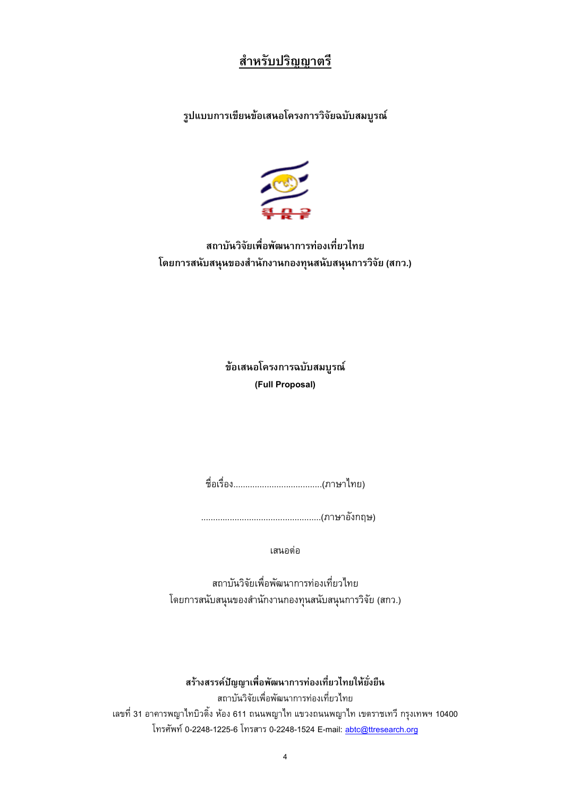# สำหรับปริญญาตรี

รูปแบบการเขียนข้อเสนอโครงการวิจัยฉบับสมบูรณ์



สถาบันวิจัยเพื่อพัฒนาการท่องเที่ยวไทย โดยการสนับสนุนของสำนักงานกองทุนสนับสนุนการวิจัย (สกว.)

> ข้อเสนอโครงการฉบับสมบูรณ์ (Full Proposal)

เสนอต่อ

สถาบันวิจัยเพื่อพัฒนาการท่องเที่ยวไทย โดยการสนับสนุนของสำนักงานกองทุนสนับสนุนการวิจัย (สกว.)

สร้างสรรค์ปัญญาเพื่อพัฒนาการท่องเที่ยวไทยให้ยั่งยืน สถาบันวิจัยเพื่อพัฒนาการท่องเที่ยวไทย ้เลขที่ 31 อาคารพญาไทบิวดิ้ง ห้อง 611 ถนนพญาไท แขวงถนนพญาไท เขตราชเทวี กรุงเทพฯ 10400 โทรศัพท์ 0-2248-1225-6 โทรสาร 0-2248-1524 E-mail: abtc@ttresearch.org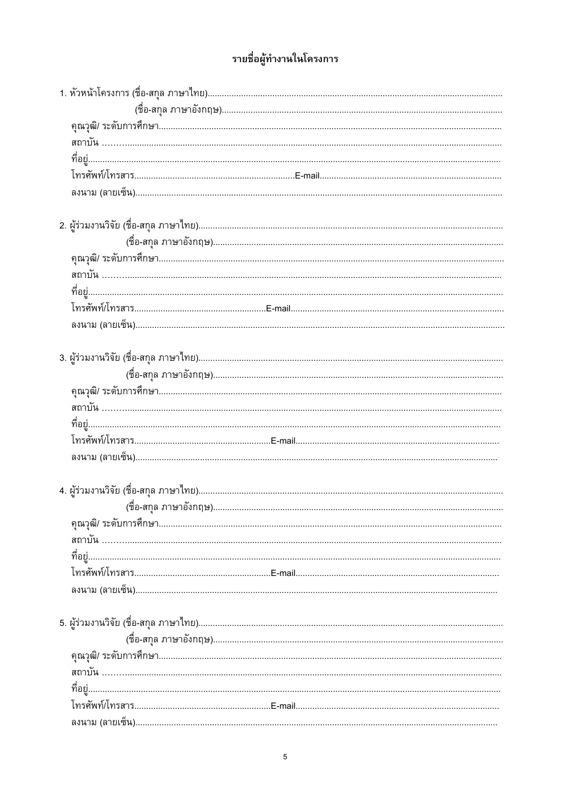# รายชื่อผู้ทำงานในโครงการ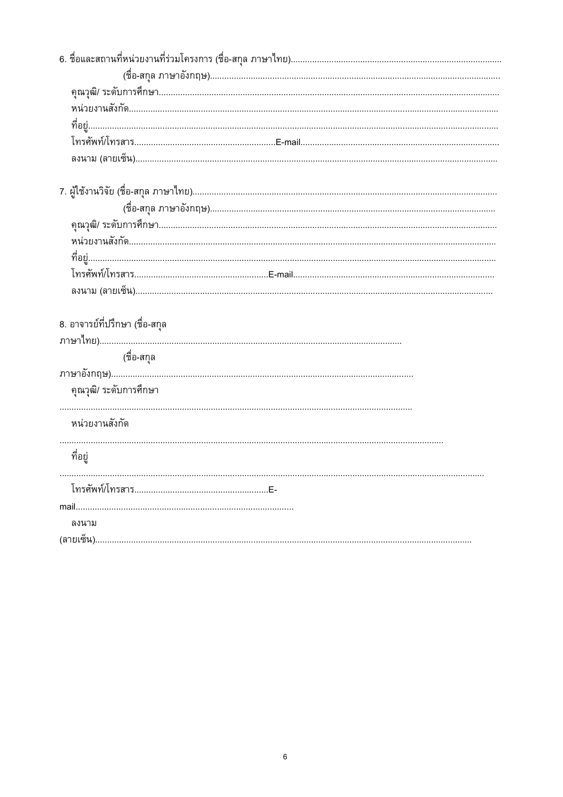| 8. อาจารย์ที่ปรึกษา (ชื่อ-สกุล |  |
|--------------------------------|--|
|                                |  |
| (ชื่อ-สกุล                     |  |
|                                |  |
| คุณวุฒิ/ ระดับการศึกษา         |  |
|                                |  |
| หน่วยงานสังกัด                 |  |
| ที่อยู่                        |  |
|                                |  |
|                                |  |
| mail                           |  |
| ลงนาม                          |  |
|                                |  |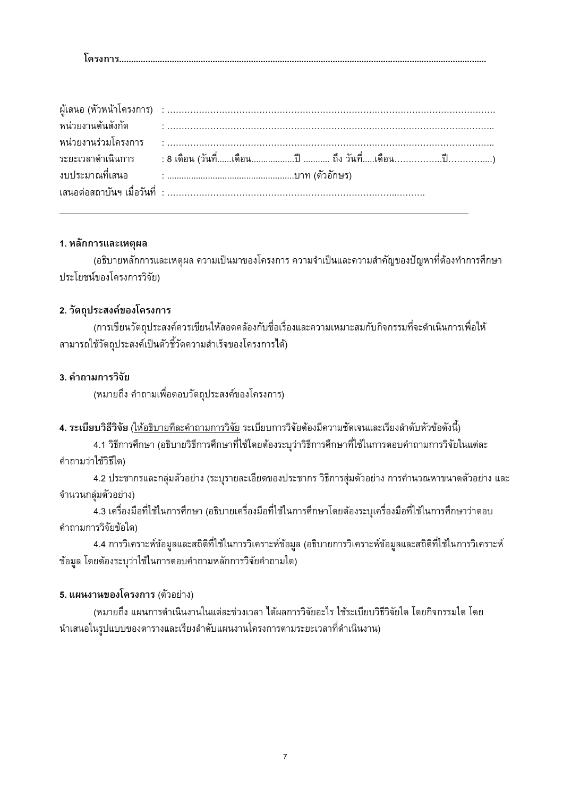| เครงก |
|-------|
|-------|

#### 1. หลักการและเหตุผล

(อธิบายหลักการและเหตุผล ความเป็นมาของโครงการ ความจำเป็นและความสำคัญของปัญหาที่ต้องทำการศึกษา ประโยชน์ของโครงการวิจัย)

#### 2. วัตถุประสงค์ของโครงการ

(การเขียนวัตถประสงค์ควรเขียนให้สอดคล้องกับชื่อเรื่องและความเหมาะสมกับกิจกรรมที่จะดำเนินการเพื่อให้ สามารถใช้วัตถุประสงค์เป็นตัวชี้วัดความสำเร็จของโครงการได้)

#### 3. คำถามการวิจัย

(หมายถึง คำถามเพื่อตอบวัตถุประสงค์ของโครงการ)

#### 4. ระเบียบวิธีวิจัย (ให้อธิบายทีละคำถามการวิจัย ระเบียบการวิจัยต้องมีความชัดเจนและเรียงลำดับหัวข้อดังนี้)

4.1 วิธีการศึกษา (อธิบายวิธีการศึกษาที่ใช้โดยต้องระบุว่าวิธีการศึกษาที่ใช้ในการตอบคำถามการวิจัยในแต่ละ คำถามว่าใช้วิธีใด)

4.2 ประชากรและกลุ่มตัวอย่าง (ระบุรายละเอียดของประชากร วิธีการสุ่มตัวอย่าง การคำนวณหาขนาดตัวอย่าง และ จำนวนกลุ่มตัวอย่าง)

4.3 เครื่องมือที่ใช้ในการศึกษา (อธิบายเครื่องมือที่ใช้ในการศึกษาโดยต้องระบุเครื่องมือที่ใช้ในการศึกษาว่าตอบ คำถามการวิจัยข้อใด)

4.4 การวิเคราะห์ข้อมูลและสถิติที่ใช้ในการวิเคราะห์ข้อมูล (อธิบายการวิเคราะห์ข้อมูลและสถิติที่ใช้ในการวิเคราะห์ ข้อมูล โดยต้องระบุว่าใช้ในการตอบคำถามหลักการวิจัยคำถามใด)

#### 5. แผนงานของโครงการ (ตัวอย่าง)

(หมายถึง แผนการดำเนินงานในแต่ละช่วงเวลา ได้ผลการวิจัยอะไร ใช้ระเบียบวิธีวิจัยใด โดยกิจกรรมใด โดย นำเสนอในรูปแบบของตารางและเรียงลำดับแผนงานโครงการตามระยะเวลาที่ดำเนินงาน)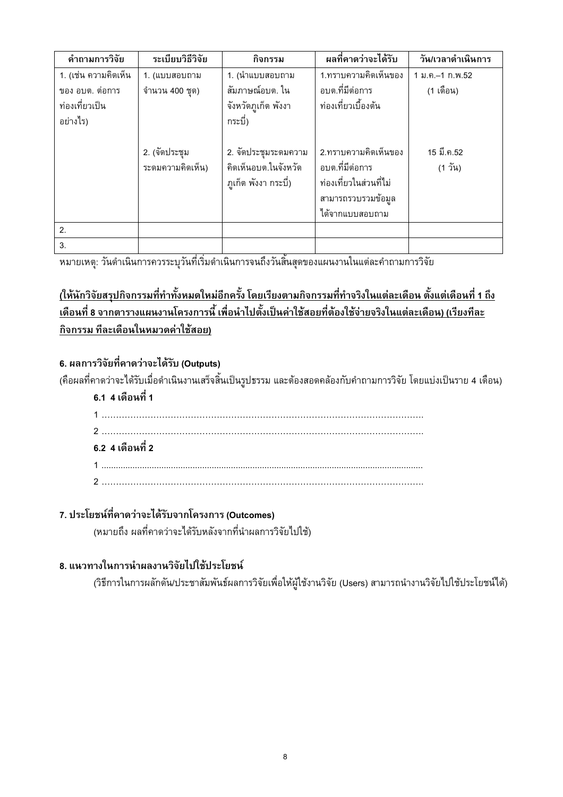| คำถามการวิจัย        | ระเบียบวิธีวิจัย | กิจกรรม              | ผลที่คาดว่าจะได้รับ    | วัน/เวลาดำเนินการ |
|----------------------|------------------|----------------------|------------------------|-------------------|
| 1. (เช่น ความคิดเห็น | 1. (แบบสอบถาม    | 1. (นำแบบสอบถาม      | 1.ทราบความคิดเห็นของ   | 1 ม.ค.–1 ก.พ.52   |
| ของ อบต. ต่อการ      | จำนวน 400 ชุด)   | สัมภาษณ์อบต. ใน      | อบต.ที่มีต่อการ        | (1 เดือน)         |
| ท่องเที่ยวเป็น       |                  | จังหวัดภูเก็ต พังงา  | ท่องเที่ยวเบื้องต้น    |                   |
| อย่างไร)             |                  | กระบี)               |                        |                   |
|                      |                  |                      |                        |                   |
|                      | 2. (จัดประชุม    | 2. จัดประชุมระดมความ | 2.ทราบความคิดเห็นของ   | 15 มี.ค.52        |
|                      | ระดมความคิดเห็น) | คิดเห็นอบต.ในจังหวัด | อบต.ที่มีต่อการ        | (1 วัน)           |
|                      |                  | ภูเก็ต พังงา กระบี่) | ท่องเที่ยวในส่วนที่ไม่ |                   |
|                      |                  |                      | สามารถรวบรวมข้อมูล     |                   |
|                      |                  |                      | ได้จากแบบสอบถาม        |                   |
| 2.                   |                  |                      |                        |                   |
| 3.                   |                  |                      |                        |                   |

# <u>(ให้นักวิจัยสรุปกิจกรรมที่ทำทั้งหมดใหม่อีกครั้ง โดยเรียงตามกิจกรรมที่ทำจริงในแต่ละเดือน ตั้งแต่เดือนที่ 1 ถึง</u> ้เดือนที่ 8 จากตารางแผนงานโครงการนี้ เพื่อนำไปตั้งเป็นค่าใช้สอยที่ต้องใช้จ่ายจริงในแต่ละเดือน) (เรียงทีละ กิจกรรม ทีละเดือนในหมวดค่าใช้สอย)

### 6. ผลการวิจัยที่คาดว่าจะได้รับ (Outputs)

(คือผลที่คาดว่าจะได้รับเมื่อดำเนินงานเสร็จสิ้นเป็นรูปธรรม และต้องสอดคล้องกับคำถามการวิจัย โดยแบ่งเป็นราย 4 เดือน)

### 6.1 4 เดือนที่ 1

| 6.2 4 เดือนที่ 2 |  |
|------------------|--|
|                  |  |
|                  |  |

#### 7. ประโยชน์ที่คาดว่าจะได้รับจากโครงการ (Outcomes)

(หมายถึง ผลที่คาดว่าจะได้รับหลังจากที่นำผลการวิจัยไปใช้)

#### 8. แนวทางในการนำผลงานวิจัยไปใช้ประโยชน์

(วิธีการในการผลักดัน/ประชาสัมพันธ์ผลการวิจัยเพื่อให้ผู้ใช้งานวิจัย (Users) สามารถนำงานวิจัยไปใช้ประโยชน์ได้)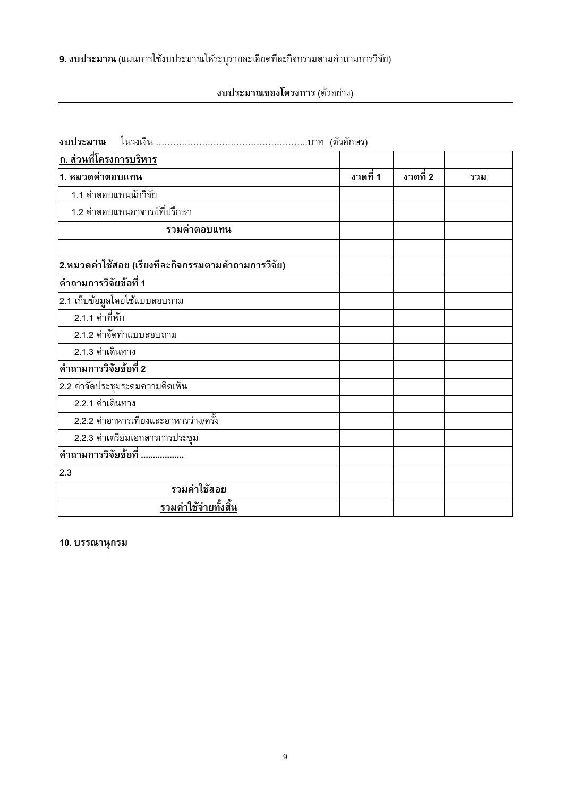9. งบประมาณ (แผนการใช้งบประมาณให้ระบุรายละเอียดที่ละกิจกรรมตามคำถามการวิจัย)

งบประมาณของโครงการ (ตัวอย่าง)

| ก. ส่วนที่โครงการบริหาร                            |          |          |     |
|----------------------------------------------------|----------|----------|-----|
| 1. หมวดค่าตอบแทน                                   | งวดที่ 1 | งวดที่ 2 | รวม |
| 1.1 ค่าตอบแทนนักวิจัย                              |          |          |     |
| 1.2 ค่าตอบแทนอาจารย์ที่ปรึกษา                      |          |          |     |
| รวมค่าตอบแทน                                       |          |          |     |
| 2.หมวดค่าใช้สอย (เรียงทีละกิจกรรมตามคำถามการวิจัย) |          |          |     |
| ้คำถามการวิจัยข้อที่ 1                             |          |          |     |
| 2.1 เก็บข้อมูลโดยใช้แบบสอบถาม                      |          |          |     |
| 2.1.1 ค่าที่พัก                                    |          |          |     |
| 2.1.2 ค่าจัดทำแบบสอบถาม                            |          |          |     |
| 2.1.3 ค่าเดินทาง                                   |          |          |     |
| ้คำถามการวิจัยข้อที่ 2                             |          |          |     |
| 2.2 ค่าจัดประชุมระดมความคิดเห็น                    |          |          |     |
| 2.2.1 ค่าเดินทาง                                   |          |          |     |
| 2.2.2 ค่าอาหารเที่ยงและอาหารว่าง/ครั้ง             |          |          |     |
| 2.2.3 ค่าเตรียมเอกสารการประชุม                     |          |          |     |
| ้คำถามการวิจัยข้อที่                               |          |          |     |
| 2.3                                                |          |          |     |
| รวมค่าใช้สอย                                       |          |          |     |
| รวมค่าใช้จ่ายทั้งสิ้น                              |          |          |     |

10. บรรณานุกรม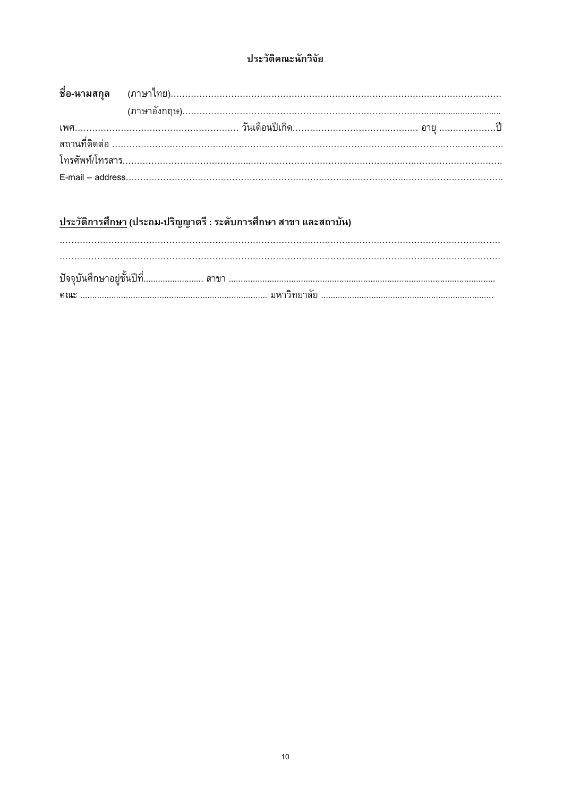### ประวัติคณะนักวิจัย

# <u>ประวัติการศึกษา</u> (ประถม-ปริญญาตรี : ระดับการศึกษา สาขา และสถาบัน)